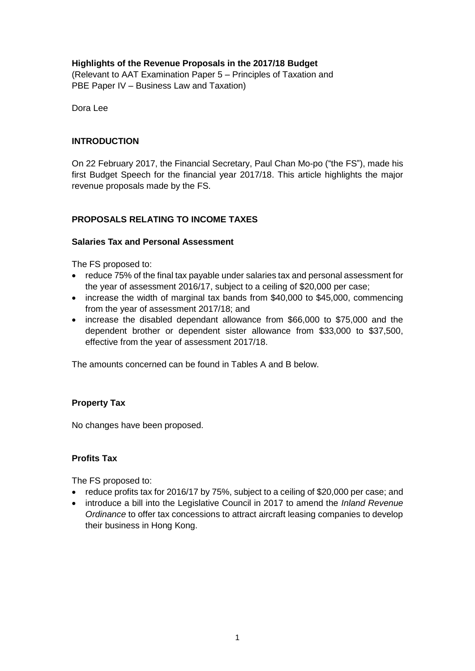# **Highlights of the Revenue Proposals in the 2017/18 Budget**

(Relevant to AAT Examination Paper 5 – Principles of Taxation and PBE Paper IV – Business Law and Taxation)

Dora Lee

#### **INTRODUCTION**

On 22 February 2017, the Financial Secretary, Paul Chan Mo-po ("the FS"), made his first Budget Speech for the financial year 2017/18. This article highlights the major revenue proposals made by the FS.

## **PROPOSALS RELATING TO INCOME TAXES**

#### **Salaries Tax and Personal Assessment**

The FS proposed to:

- reduce 75% of the final tax payable under salaries tax and personal assessment for the year of assessment 2016/17, subject to a ceiling of \$20,000 per case;
- increase the width of marginal tax bands from \$40,000 to \$45,000, commencing from the year of assessment 2017/18; and
- increase the disabled dependant allowance from \$66,000 to \$75,000 and the dependent brother or dependent sister allowance from \$33,000 to \$37,500, effective from the year of assessment 2017/18.

The amounts concerned can be found in Tables A and B below.

#### **Property Tax**

No changes have been proposed.

#### **Profits Tax**

The FS proposed to:

- reduce profits tax for 2016/17 by 75%, subject to a ceiling of \$20,000 per case; and
- introduce a bill into the Legislative Council in 2017 to amend the *Inland Revenue Ordinance* to offer tax concessions to attract aircraft leasing companies to develop their business in Hong Kong.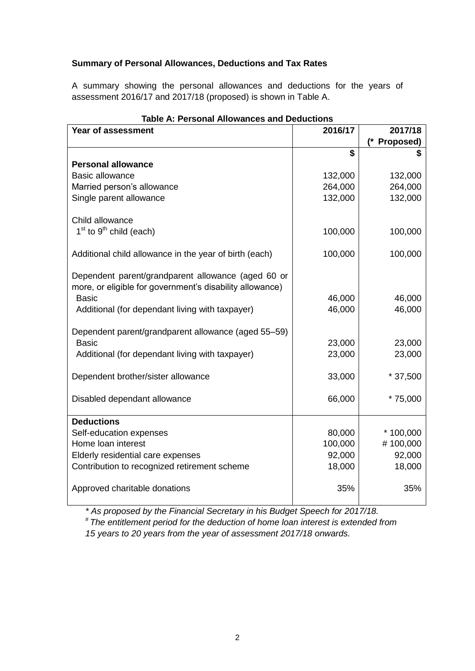## **Summary of Personal Allowances, Deductions and Tax Rates**

A summary showing the personal allowances and deductions for the years of assessment 2016/17 and 2017/18 (proposed) is shown in Table A.

| Table A: Personal Allowances and Deductions<br>Year of assessment                                              | 2016/17 | 2017/18      |
|----------------------------------------------------------------------------------------------------------------|---------|--------------|
|                                                                                                                |         | (* Proposed) |
|                                                                                                                | \$      | S            |
| <b>Personal allowance</b>                                                                                      |         |              |
| <b>Basic allowance</b>                                                                                         | 132,000 | 132,000      |
| Married person's allowance                                                                                     | 264,000 | 264,000      |
| Single parent allowance                                                                                        | 132,000 | 132,000      |
| Child allowance                                                                                                |         |              |
| $1st$ to $9th$ child (each)                                                                                    | 100,000 | 100,000      |
| Additional child allowance in the year of birth (each)                                                         | 100,000 | 100,000      |
| Dependent parent/grandparent allowance (aged 60 or<br>more, or eligible for government's disability allowance) |         |              |
| <b>Basic</b>                                                                                                   | 46,000  | 46,000       |
| Additional (for dependant living with taxpayer)                                                                | 46,000  | 46,000       |
| Dependent parent/grandparent allowance (aged 55-59)                                                            |         |              |
| <b>Basic</b>                                                                                                   | 23,000  | 23,000       |
| Additional (for dependant living with taxpayer)                                                                | 23,000  | 23,000       |
| Dependent brother/sister allowance                                                                             | 33,000  | $*37,500$    |
| Disabled dependant allowance                                                                                   | 66,000  | $*75,000$    |
| <b>Deductions</b>                                                                                              |         |              |
| Self-education expenses                                                                                        | 80,000  | $*100,000$   |
| Home loan interest                                                                                             | 100,000 | #100,000     |
| Elderly residential care expenses                                                                              | 92,000  | 92,000       |
| Contribution to recognized retirement scheme                                                                   | 18,000  | 18,000       |
| Approved charitable donations                                                                                  | 35%     | 35%          |

# **Table A: Personal Allowances and Deductions**

*\* As proposed by the Financial Secretary in his Budget Speech for 2017/18.*

*# The entitlement period for the deduction of home loan interest is extended from 15 years to 20 years from the year of assessment 2017/18 onwards.*